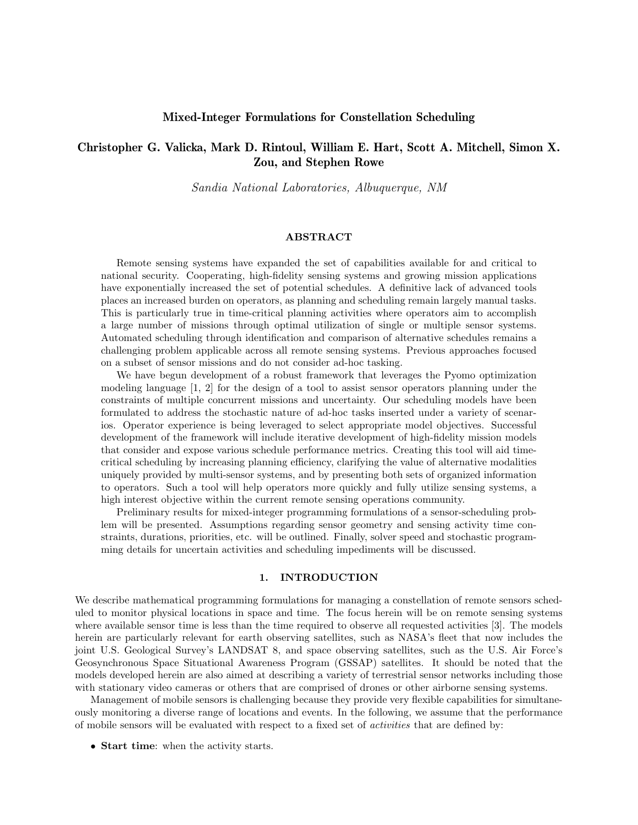## Mixed-Integer Formulations for Constellation Scheduling

# Christopher G. Valicka, Mark D. Rintoul, William E. Hart, Scott A. Mitchell, Simon X. Zou, and Stephen Rowe

Sandia National Laboratories, Albuquerque, NM

### ABSTRACT

Remote sensing systems have expanded the set of capabilities available for and critical to national security. Cooperating, high-fidelity sensing systems and growing mission applications have exponentially increased the set of potential schedules. A definitive lack of advanced tools places an increased burden on operators, as planning and scheduling remain largely manual tasks. This is particularly true in time-critical planning activities where operators aim to accomplish a large number of missions through optimal utilization of single or multiple sensor systems. Automated scheduling through identification and comparison of alternative schedules remains a challenging problem applicable across all remote sensing systems. Previous approaches focused on a subset of sensor missions and do not consider ad-hoc tasking.

We have begun development of a robust framework that leverages the Pyomo optimization modeling language [1, 2] for the design of a tool to assist sensor operators planning under the constraints of multiple concurrent missions and uncertainty. Our scheduling models have been formulated to address the stochastic nature of ad-hoc tasks inserted under a variety of scenarios. Operator experience is being leveraged to select appropriate model objectives. Successful development of the framework will include iterative development of high-fidelity mission models that consider and expose various schedule performance metrics. Creating this tool will aid timecritical scheduling by increasing planning efficiency, clarifying the value of alternative modalities uniquely provided by multi-sensor systems, and by presenting both sets of organized information to operators. Such a tool will help operators more quickly and fully utilize sensing systems, a high interest objective within the current remote sensing operations community.

Preliminary results for mixed-integer programming formulations of a sensor-scheduling problem will be presented. Assumptions regarding sensor geometry and sensing activity time constraints, durations, priorities, etc. will be outlined. Finally, solver speed and stochastic programming details for uncertain activities and scheduling impediments will be discussed.

### 1. INTRODUCTION

We describe mathematical programming formulations for managing a constellation of remote sensors scheduled to monitor physical locations in space and time. The focus herein will be on remote sensing systems where available sensor time is less than the time required to observe all requested activities [3]. The models herein are particularly relevant for earth observing satellites, such as NASA's fleet that now includes the joint U.S. Geological Survey's LANDSAT 8, and space observing satellites, such as the U.S. Air Force's Geosynchronous Space Situational Awareness Program (GSSAP) satellites. It should be noted that the models developed herein are also aimed at describing a variety of terrestrial sensor networks including those with stationary video cameras or others that are comprised of drones or other airborne sensing systems.

Management of mobile sensors is challenging because they provide very flexible capabilities for simultaneously monitoring a diverse range of locations and events. In the following, we assume that the performance of mobile sensors will be evaluated with respect to a fixed set of activities that are defined by:

• Start time: when the activity starts.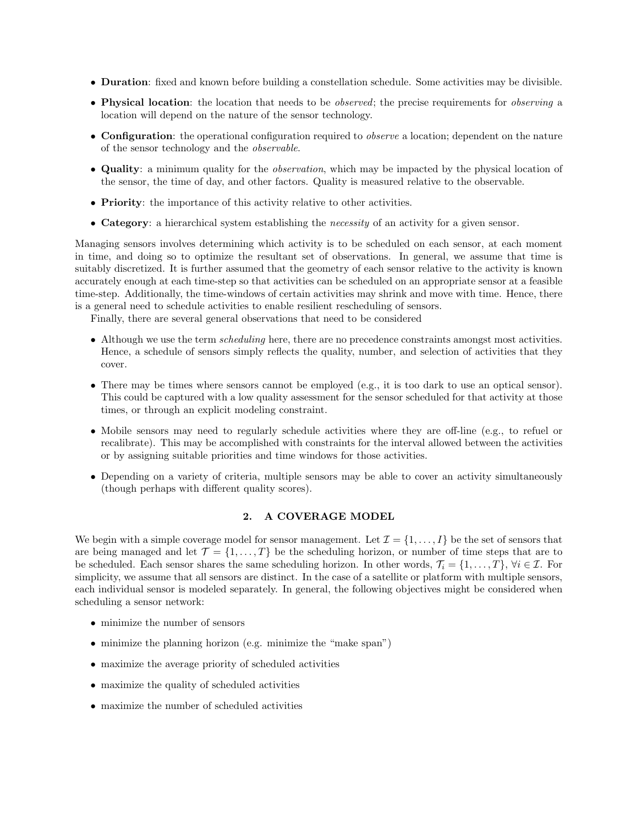- Duration: fixed and known before building a constellation schedule. Some activities may be divisible.
- Physical location: the location that needs to be *observed*; the precise requirements for *observing* a location will depend on the nature of the sensor technology.
- Configuration: the operational configuration required to *observe* a location; dependent on the nature of the sensor technology and the observable.
- Quality: a minimum quality for the *observation*, which may be impacted by the physical location of the sensor, the time of day, and other factors. Quality is measured relative to the observable.
- **Priority**: the importance of this activity relative to other activities.
- Category: a hierarchical system establishing the necessity of an activity for a given sensor.

Managing sensors involves determining which activity is to be scheduled on each sensor, at each moment in time, and doing so to optimize the resultant set of observations. In general, we assume that time is suitably discretized. It is further assumed that the geometry of each sensor relative to the activity is known accurately enough at each time-step so that activities can be scheduled on an appropriate sensor at a feasible time-step. Additionally, the time-windows of certain activities may shrink and move with time. Hence, there is a general need to schedule activities to enable resilient rescheduling of sensors.

Finally, there are several general observations that need to be considered

- Although we use the term *scheduling* here, there are no precedence constraints amongst most activities. Hence, a schedule of sensors simply reflects the quality, number, and selection of activities that they cover.
- There may be times where sensors cannot be employed (e.g., it is too dark to use an optical sensor). This could be captured with a low quality assessment for the sensor scheduled for that activity at those times, or through an explicit modeling constraint.
- Mobile sensors may need to regularly schedule activities where they are off-line (e.g., to refuel or recalibrate). This may be accomplished with constraints for the interval allowed between the activities or by assigning suitable priorities and time windows for those activities.
- Depending on a variety of criteria, multiple sensors may be able to cover an activity simultaneously (though perhaps with different quality scores).

## 2. A COVERAGE MODEL

We begin with a simple coverage model for sensor management. Let  $\mathcal{I} = \{1, \ldots, I\}$  be the set of sensors that are being managed and let  $\mathcal{T} = \{1, \ldots, T\}$  be the scheduling horizon, or number of time steps that are to be scheduled. Each sensor shares the same scheduling horizon. In other words,  $\mathcal{T}_i = \{1, \ldots, T\}$ ,  $\forall i \in \mathcal{I}$ . For simplicity, we assume that all sensors are distinct. In the case of a satellite or platform with multiple sensors, each individual sensor is modeled separately. In general, the following objectives might be considered when scheduling a sensor network:

- minimize the number of sensors
- minimize the planning horizon (e.g. minimize the "make span")
- maximize the average priority of scheduled activities
- maximize the quality of scheduled activities
- maximize the number of scheduled activities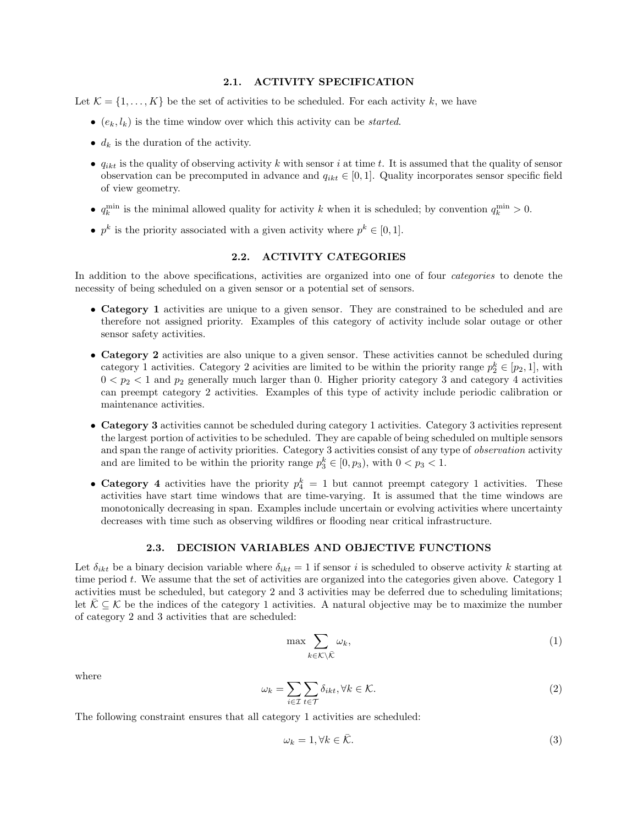#### 2.1. ACTIVITY SPECIFICATION

Let  $\mathcal{K} = \{1, \ldots, K\}$  be the set of activities to be scheduled. For each activity k, we have

- $\bullet$  ( $e_k, l_k$ ) is the time window over which this activity can be *started*.
- $d_k$  is the duration of the activity.
- $q_{ikt}$  is the quality of observing activity k with sensor i at time t. It is assumed that the quality of sensor observation can be precomputed in advance and  $q_{ikt} \in [0, 1]$ . Quality incorporates sensor specific field of view geometry.
- $q_k^{\min}$  is the minimal allowed quality for activity k when it is scheduled; by convention  $q_k^{\min} > 0$ .
- $p^k$  is the priority associated with a given activity where  $p^k \in [0,1]$ .

### 2.2. ACTIVITY CATEGORIES

In addition to the above specifications, activities are organized into one of four *categories* to denote the necessity of being scheduled on a given sensor or a potential set of sensors.

- Category 1 activities are unique to a given sensor. They are constrained to be scheduled and are therefore not assigned priority. Examples of this category of activity include solar outage or other sensor safety activities.
- Category 2 activities are also unique to a given sensor. These activities cannot be scheduled during category 1 activities. Category 2 acivities are limited to be within the priority range  $p_2^k \in [p_2, 1]$ , with  $0 < p_2 < 1$  and  $p_2$  generally much larger than 0. Higher priority category 3 and category 4 activities can preempt category 2 activities. Examples of this type of activity include periodic calibration or maintenance activities.
- Category 3 activities cannot be scheduled during category 1 activities. Category 3 activities represent the largest portion of activities to be scheduled. They are capable of being scheduled on multiple sensors and span the range of activity priorities. Category 3 activities consist of any type of *observation* activity and are limited to be within the priority range  $p_3^k \in [0, p_3)$ , with  $0 < p_3 < 1$ .
- Category 4 activities have the priority  $p_4^k = 1$  but cannot preempt category 1 activities. These activities have start time windows that are time-varying. It is assumed that the time windows are monotonically decreasing in span. Examples include uncertain or evolving activities where uncertainty decreases with time such as observing wildfires or flooding near critical infrastructure.

## 2.3. DECISION VARIABLES AND OBJECTIVE FUNCTIONS

Let  $\delta_{ikt}$  be a binary decision variable where  $\delta_{ikt} = 1$  if sensor i is scheduled to observe activity k starting at time period t. We assume that the set of activities are organized into the categories given above. Category 1 activities must be scheduled, but category 2 and 3 activities may be deferred due to scheduling limitations; let  $\mathcal{K} \subset \mathcal{K}$  be the indices of the category 1 activities. A natural objective may be to maximize the number of category 2 and 3 activities that are scheduled:

$$
\max \sum_{k \in \mathcal{K} \setminus \bar{\mathcal{K}}} \omega_k,\tag{1}
$$

where

$$
\omega_k = \sum_{i \in \mathcal{I}} \sum_{t \in \mathcal{T}} \delta_{ikt}, \forall k \in \mathcal{K}.\tag{2}
$$

The following constraint ensures that all category 1 activities are scheduled:

$$
\omega_k = 1, \forall k \in \bar{\mathcal{K}}.\tag{3}
$$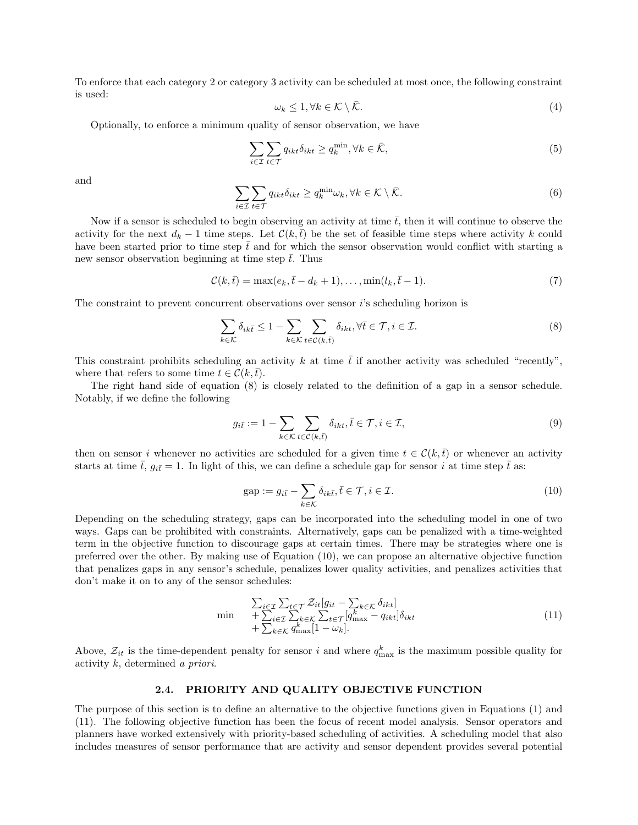To enforce that each category 2 or category 3 activity can be scheduled at most once, the following constraint is used:

$$
\omega_k \le 1, \forall k \in \mathcal{K} \setminus \bar{\mathcal{K}}.\tag{4}
$$

Optionally, to enforce a minimum quality of sensor observation, we have

$$
\sum_{i \in \mathcal{I}} \sum_{t \in \mathcal{T}} q_{ikt} \delta_{ikt} \ge q_k^{\min}, \forall k \in \bar{\mathcal{K}},\tag{5}
$$

and

$$
\sum_{i \in \mathcal{I}} \sum_{t \in \mathcal{T}} q_{ikt} \delta_{ikt} \ge q_k^{\min} \omega_k, \forall k \in \mathcal{K} \setminus \bar{\mathcal{K}}.\tag{6}
$$

Now if a sensor is scheduled to begin observing an activity at time  $\bar{t}$ , then it will continue to observe the activity for the next  $d_k - 1$  time steps. Let  $\mathcal{C}(k, \bar{t})$  be the set of feasible time steps where activity k could have been started prior to time step  $\bar{t}$  and for which the sensor observation would conflict with starting a new sensor observation beginning at time step  $\bar{t}$ . Thus

$$
\mathcal{C}(k,\bar{t}) = \max(e_k, \bar{t} - d_k + 1), \dots, \min(l_k, \bar{t} - 1). \tag{7}
$$

The constraint to prevent concurrent observations over sensor  $i$ 's scheduling horizon is

$$
\sum_{k \in \mathcal{K}} \delta_{ik\bar{t}} \le 1 - \sum_{k \in \mathcal{K}} \sum_{t \in \mathcal{C}(k,\bar{t})} \delta_{ikt}, \forall \bar{t} \in \mathcal{T}, i \in \mathcal{I}.
$$
\n
$$
(8)
$$

This constraint prohibits scheduling an activity k at time  $\bar{t}$  if another activity was scheduled "recently", where that refers to some time  $t \in \mathcal{C}(k, \bar{t})$ .

The right hand side of equation (8) is closely related to the definition of a gap in a sensor schedule. Notably, if we define the following

$$
g_{i\bar{t}} := 1 - \sum_{k \in \mathcal{K}} \sum_{t \in \mathcal{C}(k,\bar{t})} \delta_{ikt}, \bar{t} \in \mathcal{T}, i \in \mathcal{I},
$$
\n
$$
(9)
$$

then on sensor i whenever no activities are scheduled for a given time  $t \in \mathcal{C}(k, \bar{t})$  or whenever an activity starts at time  $\bar{t}$ ,  $g_{i\bar{t}}=1$ . In light of this, we can define a schedule gap for sensor i at time step  $\bar{t}$  as:

$$
gap := g_{i\bar{t}} - \sum_{k \in \mathcal{K}} \delta_{ik\bar{t}}, \bar{t} \in \mathcal{T}, i \in \mathcal{I}.
$$
\n(10)

Depending on the scheduling strategy, gaps can be incorporated into the scheduling model in one of two ways. Gaps can be prohibited with constraints. Alternatively, gaps can be penalized with a time-weighted term in the objective function to discourage gaps at certain times. There may be strategies where one is preferred over the other. By making use of Equation (10), we can propose an alternative objective function that penalizes gaps in any sensor's schedule, penalizes lower quality activities, and penalizes activities that don't make it on to any of the sensor schedules:

$$
\min + \sum_{i \in \mathcal{I}} \sum_{t \in \mathcal{T}} \mathcal{Z}_{it}[g_{it} - \sum_{k \in \mathcal{K}} \delta_{ikt}] + \sum_{i \in \mathcal{I}} \sum_{k \in \mathcal{K}} \sum_{k \in \mathcal{K}} \sum_{t \in \mathcal{T}} [q_{\max}^k - q_{ikt}] \delta_{ikt} + \sum_{k \in \mathcal{K}} q_{\max}^k [1 - \omega_k].
$$
\n(11)

Above,  $\mathcal{Z}_{it}$  is the time-dependent penalty for sensor i and where  $q_{\text{max}}^k$  is the maximum possible quality for activity k, determined a priori.

#### 2.4. PRIORITY AND QUALITY OBJECTIVE FUNCTION

The purpose of this section is to define an alternative to the objective functions given in Equations (1) and (11). The following objective function has been the focus of recent model analysis. Sensor operators and planners have worked extensively with priority-based scheduling of activities. A scheduling model that also includes measures of sensor performance that are activity and sensor dependent provides several potential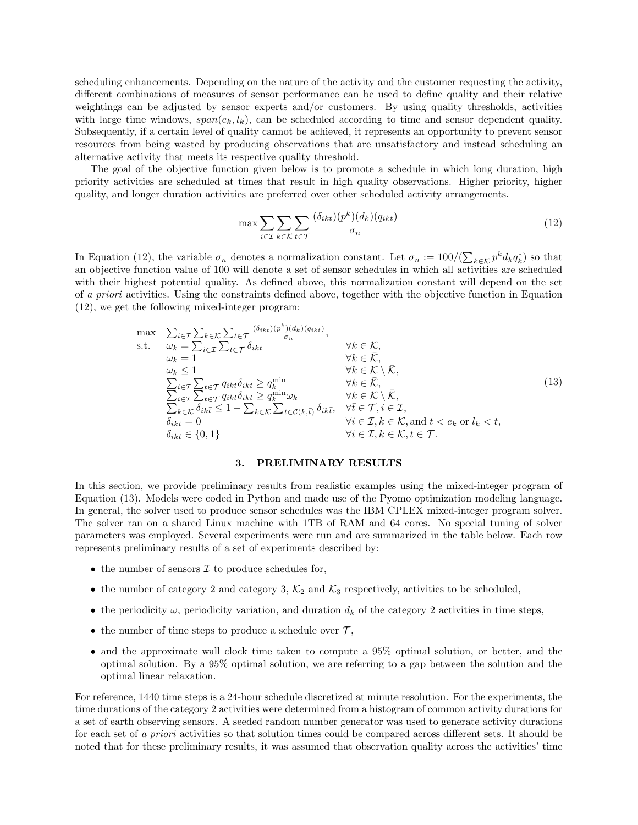scheduling enhancements. Depending on the nature of the activity and the customer requesting the activity, different combinations of measures of sensor performance can be used to define quality and their relative weightings can be adjusted by sensor experts and/or customers. By using quality thresholds, activities with large time windows,  $span(e_k, l_k)$ , can be scheduled according to time and sensor dependent quality. Subsequently, if a certain level of quality cannot be achieved, it represents an opportunity to prevent sensor resources from being wasted by producing observations that are unsatisfactory and instead scheduling an alternative activity that meets its respective quality threshold.

The goal of the objective function given below is to promote a schedule in which long duration, high priority activities are scheduled at times that result in high quality observations. Higher priority, higher quality, and longer duration activities are preferred over other scheduled activity arrangements.

$$
\max \sum_{i \in \mathcal{I}} \sum_{k \in \mathcal{K}} \sum_{t \in \mathcal{T}} \frac{(\delta_{ikt})(p^k)(d_k)(q_{ikt})}{\sigma_n} \tag{12}
$$

In Equation (12), the variable  $\sigma_n$  denotes a normalization constant. Let  $\sigma_n := 100/(\sum_{k \in \mathcal{K}} p^k d_k q_k^*)$  so that an objective function value of 100 will denote a set of sensor schedules in which all activities are scheduled with their highest potential quality. As defined above, this normalization constant will depend on the set of a priori activities. Using the constraints defined above, together with the objective function in Equation (12), we get the following mixed-integer program:

$$
\max \quad \sum_{i \in \mathcal{I}} \sum_{k \in \mathcal{K}} \sum_{t \in \mathcal{T}} \frac{(\delta_{ikt})(p^k)(d_k)(q_{ikt})}{\sigma_n},
$$
\n
$$
\text{s.t.} \quad \omega_k = \sum_{i \in \mathcal{I}} \sum_{t \in \mathcal{T}} \delta_{ikt} \qquad \forall k \in \mathcal{K},
$$
\n
$$
\omega_k = 1 \qquad \forall k \in \mathcal{K},
$$
\n
$$
\omega_k \le 1 \qquad \forall k \in \mathcal{K} \setminus \overline{\mathcal{K}},
$$
\n
$$
\sum_{i \in \mathcal{I}} \sum_{t \in \mathcal{T}} q_{ikt} \delta_{ikt} \ge q_k^{\min} \qquad \forall k \in \mathcal{K} \setminus \overline{\mathcal{K}},
$$
\n
$$
\sum_{i \in \mathcal{I}} \sum_{t \in \mathcal{T}} q_{ikt} \delta_{ikt} \ge q_k^{\min} \omega_k \qquad \forall k \in \mathcal{K} \setminus \overline{\mathcal{K}},
$$
\n
$$
\sum_{k \in \mathcal{K}} \sum_{i \in \mathcal{I}} \sum_{t \in \mathcal{T}} q_{ikt} \delta_{ikt} \ge q_k^{\min} \omega_k \qquad \forall k \in \mathcal{K} \setminus \overline{\mathcal{K}},
$$
\n
$$
\sum_{k \in \mathcal{K}} \delta_{ikt} \le 1 - \sum_{k \in \mathcal{K}} \sum_{t \in \mathcal{C}(k,t)} \delta_{ikt}, \quad \forall t \in \mathcal{T}, i \in \mathcal{I},
$$
\n
$$
\delta_{ikt} = 0 \qquad \forall i \in \mathcal{I}, k \in \mathcal{K}, \text{and } t < e_k \text{ or } l_k < t,
$$
\n
$$
\delta_{ikt} \in \{0, 1\} \qquad \forall i \in \mathcal{I}, k \in \mathcal{K}, t \in \mathcal{T}.
$$
\n
$$
(13)
$$

### 3. PRELIMINARY RESULTS

In this section, we provide preliminary results from realistic examples using the mixed-integer program of Equation (13). Models were coded in Python and made use of the Pyomo optimization modeling language. In general, the solver used to produce sensor schedules was the IBM CPLEX mixed-integer program solver. The solver ran on a shared Linux machine with 1TB of RAM and 64 cores. No special tuning of solver parameters was employed. Several experiments were run and are summarized in the table below. Each row represents preliminary results of a set of experiments described by:

- the number of sensors  $\mathcal I$  to produce schedules for,
- the number of category 2 and category 3,  $\mathcal{K}_2$  and  $\mathcal{K}_3$  respectively, activities to be scheduled,
- the periodicity  $\omega$ , periodicity variation, and duration  $d_k$  of the category 2 activities in time steps,
- the number of time steps to produce a schedule over  $\mathcal{T},$
- and the approximate wall clock time taken to compute a 95% optimal solution, or better, and the optimal solution. By a 95% optimal solution, we are referring to a gap between the solution and the optimal linear relaxation.

For reference, 1440 time steps is a 24-hour schedule discretized at minute resolution. For the experiments, the time durations of the category 2 activities were determined from a histogram of common activity durations for a set of earth observing sensors. A seeded random number generator was used to generate activity durations for each set of a priori activities so that solution times could be compared across different sets. It should be noted that for these preliminary results, it was assumed that observation quality across the activities' time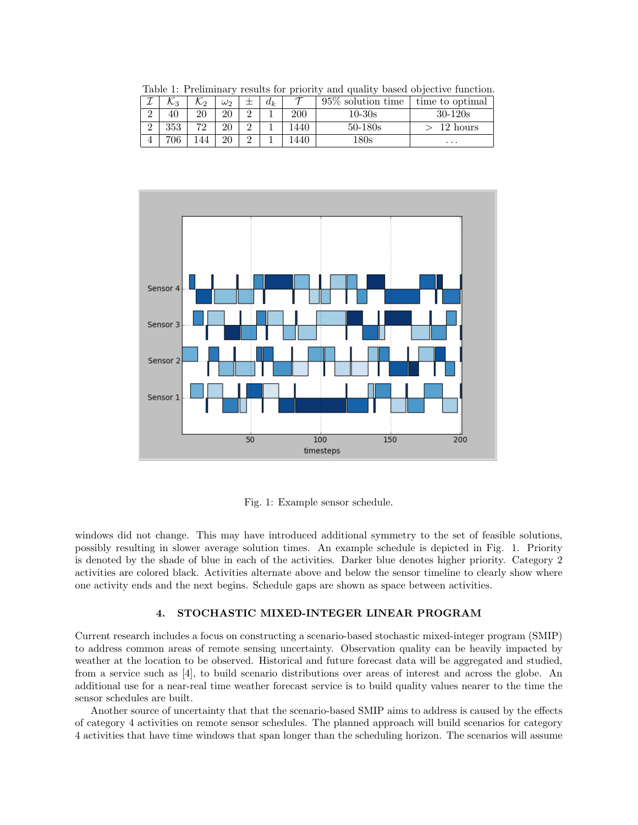| Table 1. I remimining results for priority and quality based objective ranchesis. |     |     |            |  |       |            |                                              |             |
|-----------------------------------------------------------------------------------|-----|-----|------------|--|-------|------------|----------------------------------------------|-------------|
|                                                                                   |     | んっ  | $\omega_2$ |  | $d_k$ |            | $95\%$ solution time $\vert$ time to optimal |             |
| $\Omega$                                                                          | 40  | 20  | 20         |  |       | <b>200</b> | $10-30s$                                     | $30 - 120s$ |
| $\Omega$                                                                          | 353 | 79  | 20         |  |       | 1440       | $50 - 180s$                                  | 12 hours    |
|                                                                                   | 706 | 144 | 20         |  |       | 1440       | $180\mathrm{s}$                              | $\cdots$    |

Table 1: Preliminary results for priority and quality based objective function.



Fig. 1: Example sensor schedule.

windows did not change. This may have introduced additional symmetry to the set of feasible solutions, possibly resulting in slower average solution times. An example schedule is depicted in Fig. 1. Priority is denoted by the shade of blue in each of the activities. Darker blue denotes higher priority. Category 2 activities are colored black. Activities alternate above and below the sensor timeline to clearly show where one activity ends and the next begins. Schedule gaps are shown as space between activities.

## 4. STOCHASTIC MIXED-INTEGER LINEAR PROGRAM

Current research includes a focus on constructing a scenario-based stochastic mixed-integer program (SMIP) to address common areas of remote sensing uncertainty. Observation quality can be heavily impacted by weather at the location to be observed. Historical and future forecast data will be aggregated and studied, from a service such as [4], to build scenario distributions over areas of interest and across the globe. An additional use for a near-real time weather forecast service is to build quality values nearer to the time the sensor schedules are built.

Another source of uncertainty that that the scenario-based SMIP aims to address is caused by the effects of category 4 activities on remote sensor schedules. The planned approach will build scenarios for category 4 activities that have time windows that span longer than the scheduling horizon. The scenarios will assume